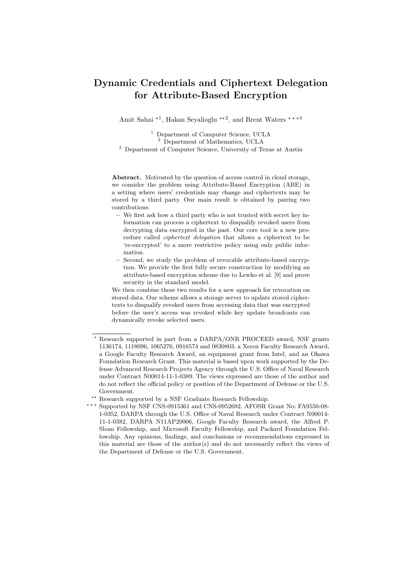# Dynamic Credentials and Ciphertext Delegation for Attribute-Based Encryption

Amit Sahai<sup>\*1</sup>, Hakan Seyalioglu<sup>\*\*2</sup>, and Brent Waters<sup>\*\*\*3</sup>

<sup>1</sup> Department of Computer Science, UCLA <sup>2</sup> Department of Mathematics, UCLA

<sup>3</sup> Department of Computer Science, University of Texas at Austin

Abstract. Motivated by the question of access control in cloud storage, we consider the problem using Attribute-Based Encryption (ABE) in a setting where users' credentials may change and ciphertexts may be stored by a third party. Our main result is obtained by pairing two contributions:

- We first ask how a third party who is not trusted with secret key information can process a ciphertext to disqualify revoked users from decrypting data encrypted in the past. Our core tool is a new procedure called ciphertext delegation that allows a ciphertext to be 're-encrypted' to a more restrictive policy using only public information.
- Second, we study the problem of revocable attribute-based encryption. We provide the first fully secure construction by modifying an attribute-based encryption scheme due to Lewko et al. [9] and prove security in the standard model.

We then combine these two results for a new approach for revocation on stored data. Our scheme allows a storage server to update stored ciphertexts to disqualify revoked users from accessing data that was encrypted before the user's access was revoked while key update broadcasts can dynamically revoke selected users.

<sup>?</sup> Research supported in part from a DARPA/ONR PROCEED award, NSF grants 1136174, 1118096, 1065276, 0916574 and 0830803, a Xerox Faculty Research Award, a Google Faculty Research Award, an equipment grant from Intel, and an Okawa Foundation Research Grant. This material is based upon work supported by the Defense Advanced Research Projects Agency through the U.S. Office of Naval Research under Contract N00014-11-1-0389. The views expressed are those of the author and do not reflect the official policy or position of the Department of Defense or the U.S. Government.

 $\star\star$  Research supported by a NSF Graduate Research Fellowship.

 $^{\star\;\star\;\star}$  Supported by NSF CNS-0915361 and CNS-0952692, AFOSR Grant No: FA9550-08-1-0352, DARPA through the U.S. Office of Naval Research under Contract N00014- 11-1-0382, DARPA N11AP20006, Google Faculty Research award, the Alfred P. Sloan Fellowship, and Microsoft Faculty Fellowship, and Packard Foundation Fellowship. Any opinions, findings, and conclusions or recommendations expressed in this material are those of the author(s) and do not necessarily reflect the views of the Department of Defense or the U.S. Government.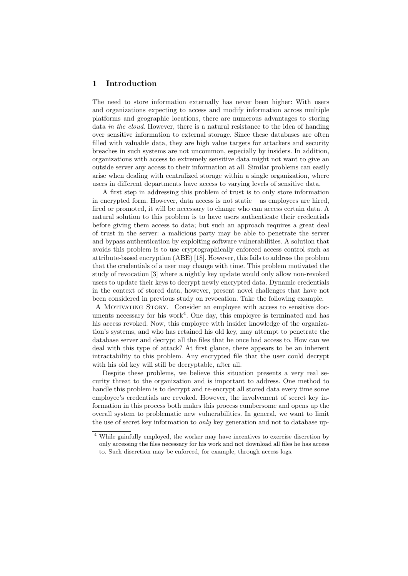# 1 Introduction

The need to store information externally has never been higher: With users and organizations expecting to access and modify information across multiple platforms and geographic locations, there are numerous advantages to storing data in the cloud. However, there is a natural resistance to the idea of handing over sensitive information to external storage. Since these databases are often filled with valuable data, they are high value targets for attackers and security breaches in such systems are not uncommon, especially by insiders. In addition, organizations with access to extremely sensitive data might not want to give an outside server any access to their information at all. Similar problems can easily arise when dealing with centralized storage within a single organization, where users in different departments have access to varying levels of sensitive data.

A first step in addressing this problem of trust is to only store information in encrypted form. However, data access is not static – as employees are hired, fired or promoted, it will be necessary to change who can access certain data. A natural solution to this problem is to have users authenticate their credentials before giving them access to data; but such an approach requires a great deal of trust in the server: a malicious party may be able to penetrate the server and bypass authentication by exploiting software vulnerabilities. A solution that avoids this problem is to use cryptographically enforced access control such as attribute-based encryption (ABE) [18]. However, this fails to address the problem that the credentials of a user may change with time. This problem motivated the study of revocation [3] where a nightly key update would only allow non-revoked users to update their keys to decrypt newly encrypted data. Dynamic credentials in the context of stored data, however, present novel challenges that have not been considered in previous study on revocation. Take the following example.

A Motivating Story. Consider an employee with access to sensitive documents necessary for his work<sup>4</sup>. One day, this employee is terminated and has his access revoked. Now, this employee with insider knowledge of the organization's systems, and who has retained his old key, may attempt to penetrate the database server and decrypt all the files that he once had access to. How can we deal with this type of attack? At first glance, there appears to be an inherent intractability to this problem. Any encrypted file that the user could decrypt with his old key will still be decryptable, after all.

Despite these problems, we believe this situation presents a very real security threat to the organization and is important to address. One method to handle this problem is to decrypt and re-encrypt all stored data every time some employee's credentials are revoked. However, the involvement of secret key information in this process both makes this process cumbersome and opens up the overall system to problematic new vulnerabilities. In general, we want to limit the use of secret key information to only key generation and not to database up-

<sup>4</sup> While gainfully employed, the worker may have incentives to exercise discretion by only accessing the files necessary for his work and not download all files he has access to. Such discretion may be enforced, for example, through access logs.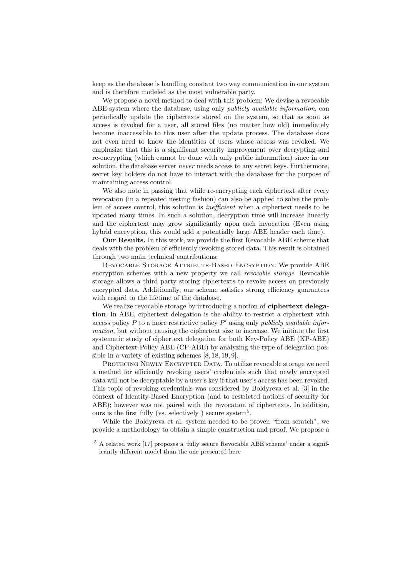keep as the database is handling constant two way communication in our system and is therefore modeled as the most vulnerable party.

We propose a novel method to deal with this problem: We devise a revocable ABE system where the database, using only *publicly available information*, can periodically update the ciphertexts stored on the system, so that as soon as access is revoked for a user, all stored files (no matter how old) immediately become inaccessible to this user after the update process. The database does not even need to know the identities of users whose access was revoked. We emphasize that this is a significant security improvement over decrypting and re-encrypting (which cannot be done with only public information) since in our solution, the database server *never* needs access to any secret keys. Furthermore, secret key holders do not have to interact with the database for the purpose of maintaining access control.

We also note in passing that while re-encrypting each ciphertext after every revocation (in a repeated nesting fashion) can also be applied to solve the problem of access control, this solution is *inefficient* when a ciphertext needs to be updated many times. In such a solution, decryption time will increase linearly and the ciphertext may grow significantly upon each invocation (Even using hybrid encryption, this would add a potentially large ABE header each time).

Our Results. In this work, we provide the first Revocable ABE scheme that deals with the problem of efficiently revoking stored data. This result is obtained through two main technical contributions:

Revocable Storage Attribute-Based Encryption. We provide ABE encryption schemes with a new property we call *revocable storage*. Revocable storage allows a third party storing ciphertexts to revoke access on previously encrypted data. Additionally, our scheme satisfies strong efficiency guarantees with regard to the lifetime of the database.

We realize revocable storage by introducing a notion of ciphertext delegation. In ABE, ciphertext delegation is the ability to restrict a ciphertext with access policy  $P$  to a more restrictive policy  $P'$  using only *publicly available infor*mation, but without causing the ciphertext size to increase. We initiate the first systematic study of ciphertext delegation for both Key-Policy ABE (KP-ABE) and Ciphertext-Policy ABE (CP-ABE) by analyzing the type of delegation possible in a variety of existing schemes [8, 18, 19, 9].

PROTECING NEWLY ENCRYPTED DATA. To utilize revocable storage we need a method for efficiently revoking users' credentials such that newly encrypted data will not be decryptable by a user's key if that user's access has been revoked. This topic of revoking credentials was considered by Boldyreva et al. [3] in the context of Identity-Based Encryption (and to restricted notions of security for ABE); however was not paired with the revocation of ciphertexts. In addition, ours is the first fully (vs. selectively) secure system<sup>5</sup>.

While the Boldyreva et al. system needed to be proven "from scratch", we provide a methodology to obtain a simple construction and proof. We propose a

 $^5$  A related work [17] proposes a 'fully secure Revocable ABE scheme' under a significantly different model than the one presented here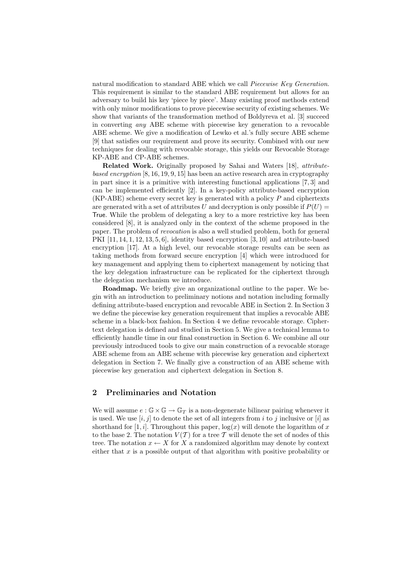natural modification to standard ABE which we call *Piecewise Key Generation*. This requirement is similar to the standard ABE requirement but allows for an adversary to build his key 'piece by piece'. Many existing proof methods extend with only minor modifications to prove piecewise security of existing schemes. We show that variants of the transformation method of Boldyreva et al. [3] succeed in converting any ABE scheme with piecewise key generation to a revocable ABE scheme. We give a modification of Lewko et al.'s fully secure ABE scheme [9] that satisfies our requirement and prove its security. Combined with our new techniques for dealing with revocable storage, this yields our Revocable Storage KP-ABE and CP-ABE schemes.

Related Work. Originally proposed by Sahai and Waters [18], attributebased encryption [8, 16, 19, 9, 15] has been an active research area in cryptography in part since it is a primitive with interesting functional applications [7, 3] and can be implemented efficiently [2]. In a key-policy attribute-based encryption  $(KP-ABE)$  scheme every secret key is generated with a policy  $P$  and ciphertexts are generated with a set of attributes U and decryption is only possible if  $P(U)$  = True. While the problem of delegating a key to a more restrictive key has been considered [8], it is analyzed only in the context of the scheme proposed in the paper. The problem of revocation is also a well studied problem, both for general PKI [11, 14, 1, 12, 13, 5, 6], identity based encryption [3, 10] and attribute-based encryption [17]. At a high level, our revocable storage results can be seen as taking methods from forward secure encryption [4] which were introduced for key management and applying them to ciphertext management by noticing that the key delegation infrastructure can be replicated for the ciphertext through the delegation mechanism we introduce.

Roadmap. We briefly give an organizational outline to the paper. We begin with an introduction to preliminary notions and notation including formally defining attribute-based encryption and revocable ABE in Section 2. In Section 3 we define the piecewise key generation requirement that implies a revocable ABE scheme in a black-box fashion. In Section 4 we define revocable storage. Ciphertext delegation is defined and studied in Section 5. We give a technical lemma to efficiently handle time in our final construction in Section 6. We combine all our previously introduced tools to give our main construction of a revocable storage ABE scheme from an ABE scheme with piecewise key generation and ciphertext delegation in Section 7. We finally give a construction of an ABE scheme with piecewise key generation and ciphertext delegation in Section 8.

### 2 Preliminaries and Notation

We will assume  $e : \mathbb{G} \times \mathbb{G} \to \mathbb{G}_T$  is a non-degenerate bilinear pairing whenever it is used. We use  $[i, j]$  to denote the set of all integers from i to j inclusive or  $[i]$  as shorthand for  $[1, i]$ . Throughout this paper,  $log(x)$  will denote the logarithm of x to the base 2. The notation  $V(T)$  for a tree T will denote the set of nodes of this tree. The notation  $x \leftarrow X$  for X a randomized algorithm may denote by context either that  $x$  is a possible output of that algorithm with positive probability or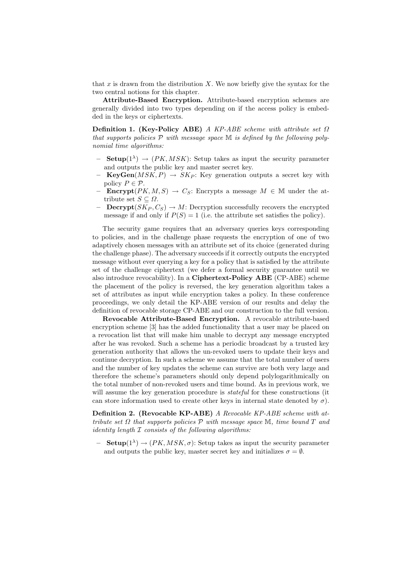that x is drawn from the distribution X. We now briefly give the syntax for the two central notions for this chapter.

Attribute-Based Encryption. Attribute-based encryption schemes are generally divided into two types depending on if the access policy is embedded in the keys or ciphertexts.

Definition 1. (Key-Policy ABE) A KP-ABE scheme with attribute set  $\Omega$ that supports policies  $P$  with message space  $M$  is defined by the following polynomial time algorithms:

- $-$  Setup $(1^{\lambda}) \rightarrow (PK, MSK)$ : Setup takes as input the security parameter and outputs the public key and master secret key.
- ${\bf KeyGen}(MSK, P) \rightarrow SK_P$ : Key generation outputs a secret key with policy  $P \in \mathcal{P}$ .
- **Encrypt**( $PK, M, S$ )  $\rightarrow C_S$ : Encrypts a message  $M \in M$  under the attribute set  $S \subseteq \Omega$ .
- **Decrypt** $(SK_P, C_S) \rightarrow M$ : Decryption successfully recovers the encrypted message if and only if  $P(S) = 1$  (i.e. the attribute set satisfies the policy).

The security game requires that an adversary queries keys corresponding to policies, and in the challenge phase requests the encryption of one of two adaptively chosen messages with an attribute set of its choice (generated during the challenge phase). The adversary succeeds if it correctly outputs the encrypted message without ever querying a key for a policy that is satisfied by the attribute set of the challenge ciphertext (we defer a formal security guarantee until we also introduce revocability). In a Ciphertext-Policy ABE (CP-ABE) scheme the placement of the policy is reversed, the key generation algorithm takes a set of attributes as input while encryption takes a policy. In these conference proceedings, we only detail the KP-ABE version of our results and delay the definition of revocable storage CP-ABE and our construction to the full version.

Revocable Attribute-Based Encryption. A revocable attribute-based encryption scheme [3] has the added functionality that a user may be placed on a revocation list that will make him unable to decrypt any message encrypted after he was revoked. Such a scheme has a periodic broadcast by a trusted key generation authority that allows the un-revoked users to update their keys and continue decryption. In such a scheme we assume that the total number of users and the number of key updates the scheme can survive are both very large and therefore the scheme's parameters should only depend polylogarithmically on the total number of non-revoked users and time bound. As in previous work, we will assume the key generation procedure is *stateful* for these constructions (it can store information used to create other keys in internal state denoted by  $\sigma$ ).

Definition 2. (Revocable KP-ABE) A Revocable KP-ABE scheme with attribute set  $\Omega$  that supports policies  $\mathcal P$  with message space M, time bound  $T$  and identity length  $I$  consists of the following algorithms:

 $-$  Setup $(1^{\lambda}) \rightarrow (PK, MSK, \sigma)$ : Setup takes as input the security parameter and outputs the public key, master secret key and initializes  $\sigma = \emptyset$ .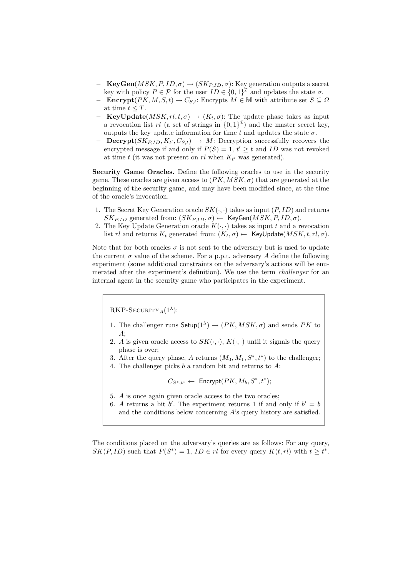- $\mathbf{KeyGen}(MSK, P, ID, \sigma) \rightarrow (SK_{P, ID}, \sigma)$ : Key generation outputs a secret key with policy  $P \in \mathcal{P}$  for the user  $ID \in \{0,1\}^{\mathcal{I}}$  and updates the state  $\sigma$ .
- **Encrypt** $(PK, M, S, t) \to C_{S,t}$ : Encrypts  $M \in \mathbb{M}$  with attribute set  $S \subseteq \Omega$ at time  $t \leq T$ .
- **KeyUpdate**( $MSK, rl, t, \sigma$ )  $\rightarrow$   $(K_t, \sigma)$ : The update phase takes as input a revocation list rl (a set of strings in  $\{0,1\}^{\mathcal{I}}$ ) and the master secret key, outputs the key update information for time t and updates the state  $\sigma$ .
- Decrypt $(SK_{P,ID}, K_{t'}, C_{S,t}) \rightarrow M$ : Decryption successfully recovers the encrypted message if and only if  $P(S) = 1$ ,  $t' \geq t$  and ID was not revoked at time t (it was not present on  $rl$  when  $K_{t'}$  was generated).

Security Game Oracles. Define the following oracles to use in the security game. These oracles are given access to  $(PK, MSK, \sigma)$  that are generated at the beginning of the security game, and may have been modified since, at the time of the oracle's invocation.

- 1. The Secret Key Generation oracle  $SK(\cdot, \cdot)$  takes as input  $(P, ID)$  and returns  $SK_{P,ID}$  generated from:  $(SK_{P,ID}, \sigma) \leftarrow \text{KeyGen}(MSK, P, ID, \sigma)$ .
- 2. The Key Update Generation oracle  $K(\cdot, \cdot)$  takes as input t and a revocation list rl and returns  $K_t$  generated from:  $(K_t, \sigma) \leftarrow$  KeyUpdate $(MSK, t, rl, \sigma)$ .

Note that for both oracles  $\sigma$  is not sent to the adversary but is used to update the current  $\sigma$  value of the scheme. For a p.p.t. adversary A define the following experiment (some additional constraints on the adversary's actions will be enumerated after the experiment's definition). We use the term challenger for an internal agent in the security game who participates in the experiment.

 $RKP-SECURITY_A(1^{\lambda})$ :

- 1. The challenger runs  $\mathsf{Setup}(1^{\lambda}) \to (PK, MSK, \sigma)$  and sends PK to A;
- 2. A is given oracle access to  $SK(\cdot, \cdot), K(\cdot, \cdot)$  until it signals the query phase is over;
- 3. After the query phase, A returns  $(M_0, M_1, S^*, t^*)$  to the challenger;
- 4. The challenger picks b a random bit and returns to A:

$$
C_{S^*,t^*} \leftarrow \text{Encrypt}(PK, M_b, S^*, t^*);
$$

- 5. A is once again given oracle access to the two oracles;
- 6. A returns a bit b'. The experiment returns 1 if and only if  $b' = b$ and the conditions below concerning A's query history are satisfied.

The conditions placed on the adversary's queries are as follows: For any query,  $SK(P, ID)$  such that  $P(S^*) = 1$ ,  $ID \in rl$  for every query  $K(t, rl)$  with  $t \geq t^*$ .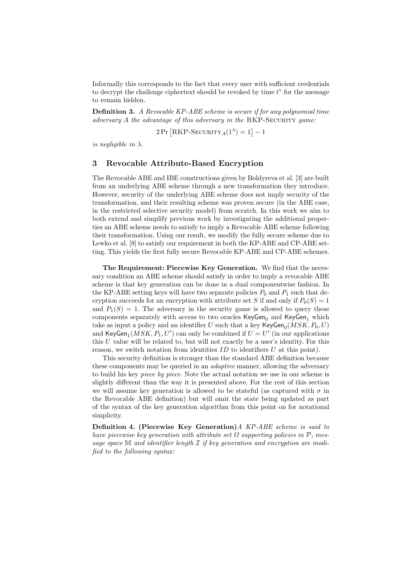Informally this corresponds to the fact that every user with sufficient credentials to decrypt the challenge ciphertext should be revoked by time  $t^*$  for the message to remain hidden.

Definition 3. A Revocable KP-ABE scheme is secure if for any polynomial time  $adversary A$  the advantage of this adversary in the RKP-SECURITY game:

$$
2\Pr\left[\text{RKP-SECURITY}_A(1^{\lambda})=1\right]-1
$$

is negligible in  $\lambda$ .

### 3 Revocable Attribute-Based Encryption

The Revocable ABE and IBE constructions given by Boldyreva et al. [3] are built from an underlying ABE scheme through a new transformation they introduce. However, security of the underlying ABE scheme does not imply security of the transformation, and their resulting scheme was proven secure (in the ABE case, in the restricted selective security model) from scratch. In this work we aim to both extend and simplify previous work by investigating the additional properties an ABE scheme needs to satisfy to imply a Revocable ABE scheme following their transformation. Using our result, we modify the fully secure scheme due to Lewko et al. [9] to satisfy our requirement in both the KP-ABE and CP-ABE setting. This yields the first fully secure Revocable KP-ABE and CP-ABE schemes.

The Requirement: Piecewise Key Generation. We find that the necessary condition an ABE scheme should satisfy in order to imply a revocable ABE scheme is that key generation can be done in a dual componentwise fashion. In the KP-ABE setting keys will have two separate policies  $P_0$  and  $P_1$  such that decryption succeeds for an encryption with attribute set S if and only if  $P_0(S) = 1$ and  $P_1(S) = 1$ . The adversary in the security game is allowed to query these components separately with access to two oracles  $KeyGen_0$  and  $KeyGen_1$  which take as input a policy and an identifier  $U$  such that a key  $\mathsf{KeyGen}_0(MSK, P_0, U)$ and  $\mathsf{KeyGen}_1(MSK, P_1, U')$  can only be combined if  $U = U'$  (in our applications this  $U$  value will be related to, but will not exactly be a user's identity. For this reason, we switch notation from identities  $ID$  to identifiers  $U$  at this point).

This security definition is stronger than the standard ABE definition because these components may be queried in an *adaptive* manner, allowing the adversary to build his key piece by piece. Note the actual notation we use in our scheme is slightly different than the way it is presented above. For the rest of this section we will assume key generation is allowed to be stateful (as captured with  $\sigma$  in the Revocable ABE definition) but will omit the state being updated as part of the syntax of the key generation algorithm from this point on for notational simplicity.

Definition 4. (Piecewise Key Generation)A KP-ABE scheme is said to have piecewise key generation with attribute set  $\Omega$  supporting policies in  $\mathcal{P}$ , message space M and identifier length  $\mathcal I$  if key generation and encryption are modified to the following syntax: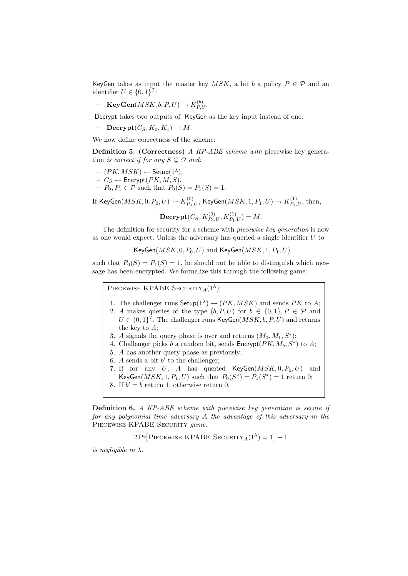KeyGen takes as input the master key  $MSK$ , a bit b a policy  $P \in \mathcal{P}$  and an identifier  $U \in \{0,1\}^{\mathcal{I}}$ :

 $- \quad \mathbf{KeyGen}(MSK, b, P, U) \rightarrow K_{P,U}^{(b)}.$ 

Decrypt takes two outputs of KeyGen as the key input instead of one:

– Decrypt $(C_S, K_0, K_1) \to M$ .

We now define correctness of the scheme:

Definition 5. (Correctness) A KP-ABE scheme with piecewise key generation is correct if for any  $S \subseteq \Omega$  and:

- $(PK, MSK) \leftarrow$  Setup $(1^{\lambda}),$
- $\, \, C_S \leftarrow {\sf{Encrypt}}(PK, M,S),$

 $-P_0, P_1 \in \mathcal{P}$  such that  $P_0(S) = P_1(S) = 1$ :

If  $\mathsf{KeyGen}(MSK, 0, P_0, U) \to K_{P_0, U}^{(0)}, \, \mathsf{KeyGen}(MSK, 1, P_1, U) \to K_{P_1, U}^{(1)}, \,\text{then},$ 

 $\mathbf{Decrypt}(C_S, K_{P_0,U}^{(0)}, K_{P_1,U}^{(1)}) = M.$ 

The definition for security for a scheme with *piecewise key generation* is now as one would expect: Unless the adversary has queried a single identifier  $U$  to

 $KeyGen(MSK, 0, P_0, U)$  and  $KeyGen(MSK, 1, P_1, U)$ 

such that  $P_0(S) = P_1(S) = 1$ , he should not be able to distinguish which message has been encrypted. We formalize this through the following game:

PIECEWISE KPABE SECURITY<sub>A</sub> $(1^{\lambda})$ :

- 1. The challenger runs  $\mathsf{Setup}(1^{\lambda}) \to (PK, MSK)$  and sends PK to A;
- 2. A makes queries of the type  $(b, P, U)$  for  $b \in \{0, 1\}$ ,  $P \in \mathcal{P}$  and  $U \in \{0,1\}^{\mathcal{I}}$ . The challenger runs KeyGen $(MSK, b, P, U)$  and returns the key to A;
- 3. A signals the query phase is over and returns  $(M_0, M_1, S^*)$ ;
- 4. Challenger picks b a random bit, sends  $\mathsf{Encrypt}(PK, M_b, S^*)$  to A;
- 5. A has another query phase as previously;
- 6. A sends a bit  $b'$  to the challenger;
- 7. If for any  $U$ ,  $A$  has queried  $KeyGen(MSK, 0, P_0, U)$  and KeyGen( $MSK, 1, P_1, U$ ) such that  $P_0(S^*) = P_1(S^*) = 1$  return 0;
- 8. If  $b' = b$  return 1, otherwise return 0.

Definition 6. A KP-ABE scheme with piecewise key generation is secure if for any polynomial time adversary A the advantage of this adversary in the PIECEWISE KPABE SECURITY game:

 $2\Pr[\text{PIECEWISE KPABE SECURITY}_{A}(1^{\lambda})=1]-1$ 

is negligible in  $\lambda$ .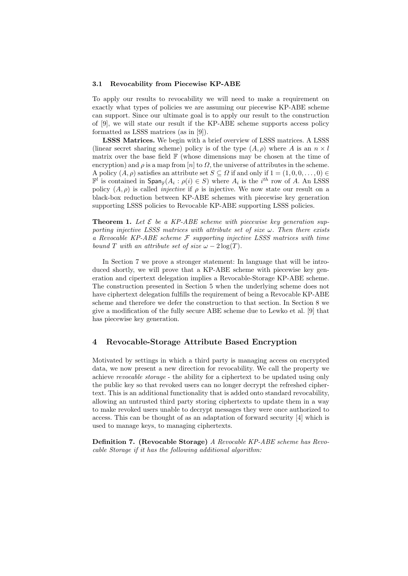#### 3.1 Revocability from Piecewise KP-ABE

To apply our results to revocability we will need to make a requirement on exactly what types of policies we are assuming our piecewise KP-ABE scheme can support. Since our ultimate goal is to apply our result to the construction of [9], we will state our result if the KP-ABE scheme supports access policy formatted as LSSS matrices (as in [9]).

LSSS Matrices. We begin with a brief overview of LSSS matrices. A LSSS (linear secret sharing scheme) policy is of the type  $(A, \rho)$  where A is an  $n \times l$ matrix over the base field  $\mathbb F$  (whose dimensions may be chosen at the time of encryption) and  $\rho$  is a map from [n] to  $\Omega$ , the universe of attributes in the scheme. A policy  $(A, \rho)$  satisfies an attribute set  $S \subseteq \Omega$  if and only if  $1 = (1, 0, 0, \ldots, 0) \in$  $\mathbb{F}^l$  is contained in  $\textsf{Span}_{\mathbb{F}}(A_i : \rho(i) \in S)$  where  $A_i$  is the  $i^{th}$  row of A. An LSSS policy  $(A, \rho)$  is called *injective* if  $\rho$  is injective. We now state our result on a black-box reduction between KP-ABE schemes with piecewise key generation supporting LSSS policies to Revocable KP-ABE supporting LSSS policies.

**Theorem 1.** Let  $\mathcal{E}$  be a KP-ABE scheme with piecewise key generation supporting injective LSSS matrices with attribute set of size  $\omega$ . Then there exists a Revocable KP-ABE scheme  $\mathcal F$  supporting injective LSSS matrices with time bound T with an attribute set of size  $\omega - 2 \log(T)$ .

In Section 7 we prove a stronger statement: In language that will be introduced shortly, we will prove that a KP-ABE scheme with piecewise key generation and cipertext delegation implies a Revocable-Storage KP-ABE scheme. The construction presented in Section 5 when the underlying scheme does not have ciphertext delegation fulfills the requirement of being a Revocable KP-ABE scheme and therefore we defer the construction to that section. In Section 8 we give a modification of the fully secure ABE scheme due to Lewko et al. [9] that has piecewise key generation.

# 4 Revocable-Storage Attribute Based Encryption

Motivated by settings in which a third party is managing access on encrypted data, we now present a new direction for revocability. We call the property we achieve revocable storage - the ability for a ciphertext to be updated using only the public key so that revoked users can no longer decrypt the refreshed ciphertext. This is an additional functionality that is added onto standard revocability, allowing an untrusted third party storing ciphertexts to update them in a way to make revoked users unable to decrypt messages they were once authorized to access. This can be thought of as an adaptation of forward security [4] which is used to manage keys, to managing ciphertexts.

Definition 7. (Revocable Storage) A Revocable KP-ABE scheme has Revocable Storage if it has the following additional algorithm: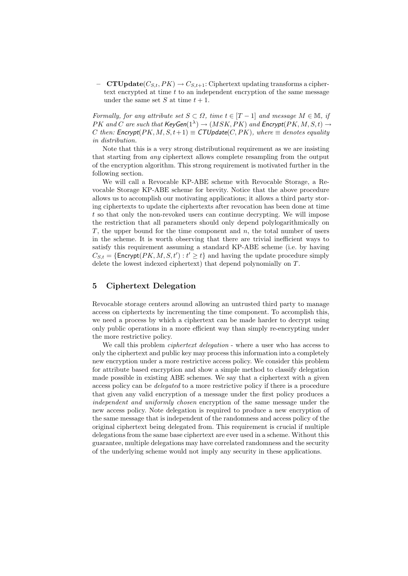**CTUpdate** $(C_{S,t}, PK) \rightarrow C_{S,t+1}$ : Ciphertext updating transforms a ciphertext encrypted at time  $t$  to an independent encryption of the same message under the same set S at time  $t + 1$ .

Formally, for any attribute set  $S \subset \Omega$ , time  $t \in [T-1]$  and message  $M \in \mathbb{M}$ , if PK and C are such that  $\mathsf{KeyGen}(1^\lambda) \to (MSK, PK)$  and  $\mathsf{Encrypt}(PK, M, S, t) \to$ C then:  $\text{Encrypt}(PK, M, S, t+1) \equiv \text{CTUpdate}(C, PK)$ , where  $\equiv$  denotes equality in distribution.

Note that this is a very strong distributional requirement as we are insisting that starting from any ciphertext allows complete resampling from the output of the encryption algorithm. This strong requirement is motivated further in the following section.

We will call a Revocable KP-ABE scheme with Revocable Storage, a Revocable Storage KP-ABE scheme for brevity. Notice that the above procedure allows us to accomplish our motivating applications; it allows a third party storing ciphertexts to update the ciphertexts after revocation has been done at time t so that only the non-revoked users can continue decrypting. We will impose the restriction that all parameters should only depend polylogarithmically on  $T$ , the upper bound for the time component and  $n$ , the total number of users in the scheme. It is worth observing that there are trivial inefficient ways to satisfy this requirement assuming a standard KP-ABE scheme (i.e. by having  $C_{S,t} = \{\text{Energy}(PK, M, S, t'): t' \geq t\}$  and having the update procedure simply delete the lowest indexed ciphertext) that depend polynomially on T.

# 5 Ciphertext Delegation

Revocable storage centers around allowing an untrusted third party to manage access on ciphertexts by incrementing the time component. To accomplish this, we need a process by which a ciphertext can be made harder to decrypt using only public operations in a more efficient way than simply re-encrypting under the more restrictive policy.

We call this problem *ciphertext delegation* - where a user who has access to only the ciphertext and public key may process this information into a completely new encryption under a more restrictive access policy. We consider this problem for attribute based encryption and show a simple method to classify delegation made possible in existing ABE schemes. We say that a ciphertext with a given access policy can be delegated to a more restrictive policy if there is a procedure that given any valid encryption of a message under the first policy produces a independent and uniformly chosen encryption of the same message under the new access policy. Note delegation is required to produce a new encryption of the same message that is independent of the randomness and access policy of the original ciphertext being delegated from. This requirement is crucial if multiple delegations from the same base ciphertext are ever used in a scheme. Without this guarantee, multiple delegations may have correlated randomness and the security of the underlying scheme would not imply any security in these applications.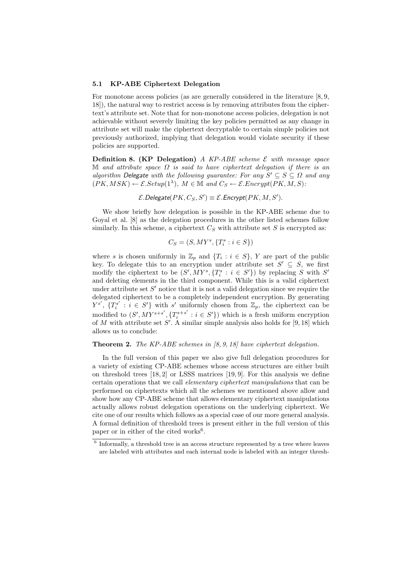#### 5.1 KP-ABE Ciphertext Delegation

For monotone access policies (as are generally considered in the literature [8, 9, 18]), the natural way to restrict access is by removing attributes from the ciphertext's attribute set. Note that for non-monotone access policies, delegation is not achievable without severely limiting the key policies permitted as any change in attribute set will make the ciphertext decryptable to certain simple policies not previously authorized, implying that delegation would violate security if these policies are supported.

**Definition 8. (KP Delegation)** A KP-ABE scheme  $\mathcal{E}$  with message space M and attribute space  $\Omega$  is said to have ciphertext delegation if there is an algorithm Delegate with the following guarantee: For any  $S' \subseteq S \subseteq \Omega$  and any  $(PK, MSK) \leftarrow \mathcal{E}.Setup(1^{\lambda}), M \in \mathbb{M}$  and  $C_S \leftarrow \mathcal{E}.Energy(PK, M, S)$ .

 $\mathcal{E}.$  Delegate $(PK, C_S, S') \equiv \mathcal{E}.$  Encrypt $(PK, M, S').$ 

We show briefly how delegation is possible in the KP-ABE scheme due to Goyal et al. [8] as the delegation procedures in the other listed schemes follow similarly. In this scheme, a ciphertext  $C<sub>S</sub>$  with attribute set S is encrypted as:

$$
C_S = (S, MY^s, \{T_i^s : i \in S\})
$$

where s is chosen uniformly in  $\mathbb{Z}_p$  and  $\{T_i : i \in S\}$ , Y are part of the public key. To delegate this to an encryption under attribute set  $S' \subseteq S$ , we first modify the ciphertext to be  $(S', MY^s, \{T_i^s : i \in S'\})$  by replacing S with S' and deleting elements in the third component. While this is a valid ciphertext under attribute set  $S'$  notice that it is not a valid delegation since we require the delegated ciphertext to be a completely independent encryption. By generating  $Y^{s'}$ ,  $\{T_i^{s'}: i \in S'\}$  with s' uniformly chosen from  $\mathbb{Z}_p$ , the ciphertext can be modified to  $(S', MY^{s+s'}, \{T_i^{s+s'}\})$  $i^{s+s'} : i \in S'$  which is a fresh uniform encryption of M with attribute set  $S'$ . A similar simple analysis also holds for [9,18] which allows us to conclude:

### **Theorem 2.** The KP-ABE schemes in  $[8, 9, 18]$  have ciphertext delegation.

In the full version of this paper we also give full delegation procedures for a variety of existing CP-ABE schemes whose access structures are either built on threshold trees [18, 2] or LSSS matrices [19, 9]. For this analysis we define certain operations that we call elementary ciphertext manipulations that can be performed on ciphertexts which all the schemes we mentioned above allow and show how any CP-ABE scheme that allows elementary ciphertext manipulations actually allows robust delegation operations on the underlying ciphertext. We cite one of our results which follows as a special case of our more general analysis. A formal definition of threshold trees is present either in the full version of this paper or in either of the cited works<sup>6</sup>.

 $6$  Informally, a threshold tree is an access structure represented by a tree where leaves are labeled with attributes and each internal node is labeled with an integer thresh-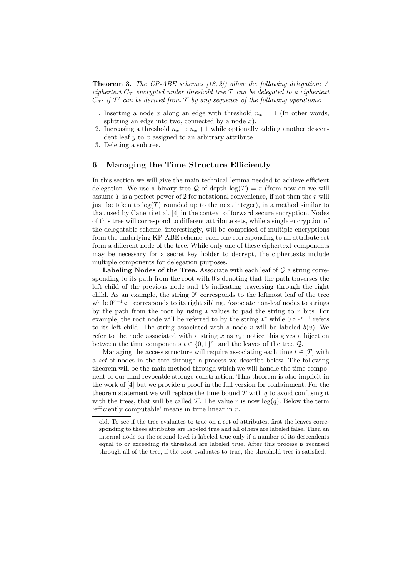**Theorem 3.** The CP-ABE schemes  $(18, 2)$  allow the following delegation: A ciphertext  $C_{\mathcal{T}}$  encrypted under threshold tree  $\mathcal{T}$  can be delegated to a ciphertext  $C_{\mathcal{T}'}$  if  $\mathcal{T}'$  can be derived from  $\mathcal T$  by any sequence of the following operations:

- 1. Inserting a node x along an edge with threshold  $n_x = 1$  (In other words, splitting an edge into two, connected by a node  $x$ ).
- 2. Increasing a threshold  $n_x \to n_x + 1$  while optionally adding another descendent leaf  $y$  to  $x$  assigned to an arbitrary attribute.
- 3. Deleting a subtree.

### 6 Managing the Time Structure Efficiently

In this section we will give the main technical lemma needed to achieve efficient delegation. We use a binary tree Q of depth  $log(T) = r$  (from now on we will assume  $T$  is a perfect power of 2 for notational convenience, if not then the  $r$  will just be taken to  $log(T)$  rounded up to the next integer), in a method similar to that used by Canetti et al. [4] in the context of forward secure encryption. Nodes of this tree will correspond to different attribute sets, while a single encryption of the delegatable scheme, interestingly, will be comprised of multiple encryptions from the underlying KP-ABE scheme, each one corresponding to an attribute set from a different node of the tree. While only one of these ciphertext components may be necessary for a secret key holder to decrypt, the ciphertexts include multiple components for delegation purposes.

Labeling Nodes of the Tree. Associate with each leaf of  $\mathcal Q$  a string corresponding to its path from the root with 0's denoting that the path traverses the left child of the previous node and 1's indicating traversing through the right child. As an example, the string  $0<sup>r</sup>$  corresponds to the leftmost leaf of the tree while  $0^{r-1}$  ∘1 corresponds to its right sibling. Associate non-leaf nodes to strings by the path from the root by using  $*$  values to pad the string to r bits. For example, the root node will be referred to by the string  $*^r$  while  $0 \circ *^{r-1}$  refers to its left child. The string associated with a node v will be labeled  $b(v)$ . We refer to the node associated with a string x as  $v_x$ ; notice this gives a bijection between the time components  $t \in \{0,1\}^r$ , and the leaves of the tree  $\mathcal{Q}$ .

Managing the access structure will require associating each time  $t \in [T]$  with a set of nodes in the tree through a process we describe below. The following theorem will be the main method through which we will handle the time component of our final revocable storage construction. This theorem is also implicit in the work of [4] but we provide a proof in the full version for containment. For the theorem statement we will replace the time bound  $T$  with  $q$  to avoid confusing it with the trees, that will be called T. The value r is now  $log(q)$ . Below the term 'efficiently computable' means in time linear in r.

old. To see if the tree evaluates to true on a set of attributes, first the leaves corresponding to these attributes are labeled true and all others are labeled false. Then an internal node on the second level is labeled true only if a number of its descendents equal to or exceeding its threshold are labeled true. After this process is recursed through all of the tree, if the root evaluates to true, the threshold tree is satisfied.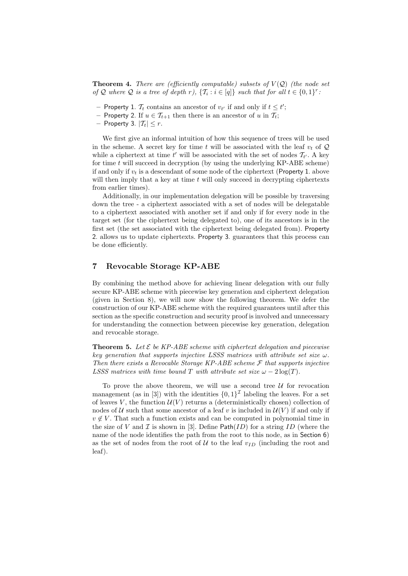**Theorem 4.** There are (efficiently computable) subsets of  $V(Q)$  (the node set of Q where Q is a tree of depth r),  $\{T_i : i \in [q]\}$  such that for all  $t \in \{0,1\}^r$ .

- Property 1.  $\mathcal{T}_t$  contains an ancestor of  $v_{t'}$  if and only if  $t \leq t'$ ;
- Property 2. If  $u \in \mathcal{T}_{t+1}$  then there is an ancestor of u in  $\mathcal{T}_t$ ;
- Property 3.  $|\mathcal{T}_t| \leq r$ .

We first give an informal intuition of how this sequence of trees will be used in the scheme. A secret key for time t will be associated with the leaf  $v_t$  of  $\mathcal{Q}$ while a ciphertext at time  $t'$  will be associated with the set of nodes  $\mathcal{T}_{t'}$ . A key for time  $t$  will succeed in decryption (by using the underlying KP-ABE scheme) if and only if  $v_t$  is a descendant of some node of the ciphertext (Property 1. above will then imply that a key at time  $t$  will only succeed in decrypting ciphertexts from earlier times).

Additionally, in our implementation delegation will be possible by traversing down the tree - a ciphertext associated with a set of nodes will be delegatable to a ciphertext associated with another set if and only if for every node in the target set (for the ciphertext being delegated to), one of its ancestors is in the first set (the set associated with the ciphertext being delegated from). Property 2. allows us to update ciphertexts. Property 3. guarantees that this process can be done efficiently.

### 7 Revocable Storage KP-ABE

By combining the method above for achieving linear delegation with our fully secure KP-ABE scheme with piecewise key generation and ciphertext delegation (given in Section 8), we will now show the following theorem. We defer the construction of our KP-ABE scheme with the required guarantees until after this section as the specific construction and security proof is involved and unnecessary for understanding the connection between piecewise key generation, delegation and revocable storage.

**Theorem 5.** Let  $\mathcal{E}$  be KP-ABE scheme with ciphertext delegation and piecewise key generation that supports injective LSSS matrices with attribute set size  $\omega$ . Then there exists a Revocable Storage KP-ABE scheme  $\mathcal F$  that supports injective LSSS matrices with time bound T with attribute set size  $\omega - 2 \log(T)$ .

To prove the above theorem, we will use a second tree  $\mathcal U$  for revocation management (as in [3]) with the identities  $\{0,1\}^{\mathcal{I}}$  labeling the leaves. For a set of leaves V, the function  $\mathcal{U}(V)$  returns a (deterministically chosen) collection of nodes of U such that some ancestor of a leaf v is included in  $U(V)$  if and only if  $v \notin V$ . That such a function exists and can be computed in polynomial time in the size of V and I is shown in [3]. Define Path(ID) for a string ID (where the name of the node identifies the path from the root to this node, as in Section 6) as the set of nodes from the root of  $U$  to the leaf  $v_{ID}$  (including the root and leaf).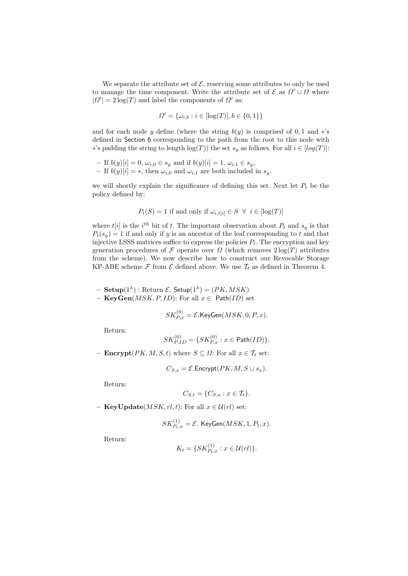We separate the attribute set of  $\mathcal{E}$ , reserving some attributes to only be used to manage the time component. Write the attribute set of  $\mathcal{E}$  as  $\Omega' \cup \Omega$  where  $|Ω'| = 2 log(T)$  and label the components of  $Ω'$  as:

$$
\Omega' = \{\omega_{i,b} : i \in [\log(T)], b \in \{0, 1\}\}
$$

and for each node y define (where the string  $b(y)$  is comprised of 0,1 and \*'s defined in Section 6 corresponding to the path from the root to this node with ∗'s padding the string to length log(T)) the set  $s_y$  as follows. For all  $i \in [log(T)]$ :

 $-$  If  $b(y)[i] = 0$ ,  $ω_{i,0} ∈ s_y$  and if  $b(y)[i] = 1$ ,  $ω_{i,1} ∈ s_y$ , – If  $b(y)[i] = *$ , then  $\omega_{i,0}$  and  $\omega_{i,1}$  are both included in  $s_y$ .

we will shortly explain the significance of defining this set. Next let  $P_t$  be the policy defined by:

$$
P_t(S) = 1
$$
 if and only if  $\omega_{i,t[i]} \in S \ \forall \ i \in [\log(T)]$ 

where  $t[i]$  is the i<sup>th</sup> bit of t. The important observation about  $P_t$  and  $s_y$  is that  $P_t(s_y) = 1$  if and only if y is an ancestor of the leaf corresponding to t and that injective LSSS matrices suffice to express the policies  $P_t$ . The encryption and key generation procedures of  $\mathcal F$  operate over  $\Omega$  (which removes  $2\log(T)$  attributes from the scheme). We now describe how to construct our Revocable Storage KP-ABE scheme  $\mathcal F$  from  $\mathcal E$  defined above. We use  $\mathcal T_t$  as defined in Theorem 4.

 $-$  Setup $(1^{\lambda})$ : Return  $\mathcal{E}$ . Setup $(1^{\lambda}) = (PK, MSK)$ – KeyGen( $MSK, P, ID$ ): For all  $x \in Path(ID)$  set

$$
SK_{P,x}^{(0)} = \mathcal{E}.\mathsf{KeyGen}(MSK, 0, P, x).
$$

Return:

$$
SK_{P,ID}^{(0)} = \{ SK_{P,x}^{(0)} : x \in \mathsf{Path}(ID) \}.
$$

– **Encrypt** $(PK, M, S, t)$  where  $S \subseteq \Omega$ : For all  $x \in \mathcal{T}_t$  set:

$$
C_{S,x} = \mathcal{E}.\mathsf{Encrypt}(PK, M, S \cup s_x).
$$

Return:

$$
C_{S,t} = \{C_{S,x} : x \in \mathcal{T}_t\}.
$$

– KeyUpdate $(MSK, rl, t)$ : For all  $x \in \mathcal{U}(rl)$  set:

$$
SK_{P_t,x}^{(1)} = \mathcal{E}.
$$
 KeyGen( $MSK, 1, P_t, x$ ).

Return:

$$
K_t = \{ SK_{P_t,x}^{(1)} : x \in \mathcal{U}(rl) \}.
$$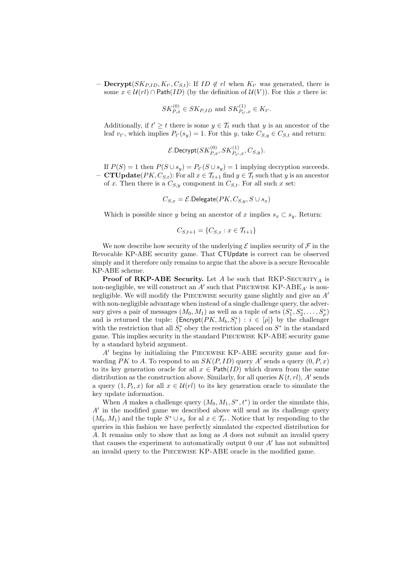**- Decrypt** $(SK_{P,ID}, K_{t'}, C_{S,t})$ : If  $ID \notin rl$  when  $K_{t'}$  was generated, there is some  $x \in \mathcal{U}(rl) \cap \text{Path}(ID)$  (by the definition of  $\mathcal{U}(V)$ ). For this x there is:

$$
SK_{P,x}^{(0)} \in SK_{P,ID}
$$
 and  $SK_{P_{t',x}}^{(1)} \in K_{t'}$ .

Additionally, if  $t' \geq t$  there is some  $y \in \mathcal{T}_t$  such that y is an ancestor of the leaf  $v_{t'}$ , which implies  $P_{t'}(s_y) = 1$ . For this y, take  $C_{S,y} \in C_{S,t}$  and return:

$$
\mathcal{E}.\mathsf{Decrypt}(SK_{P,x}^{(0)},SK_{P_{t'},x}^{(1)},C_{S,y}).
$$

If  $P(S) = 1$  then  $P(S \cup s_y) = P_{t'}(S \cup s_y) = 1$  implying decryption succeeds. **– CTUpdate**( $PK, C_{S,t}$ ): For all  $x \in \mathcal{T}_{t+1}$  find  $y \in \mathcal{T}_t$  such that y is an ancestor of x. Then there is a  $C_{S,y}$  component in  $C_{S,t}$ . For all such x set:

$$
C_{S,x} = \mathcal{E}.\mathsf{Delegate}(PK, C_{S,y}, S \cup s_x)
$$

Which is possible since y being an ancestor of x implies  $s_x \,\subset s_y$ . Return:

$$
C_{S,t+1} = \{C_{S,x} : x \in \mathcal{T}_{t+1}\}\
$$

We now describe how security of the underlying  $\mathcal E$  implies security of  $\mathcal F$  in the Revocable KP-ABE security game. That CTUpdate is correct can be observed simply and it therefore only remains to argue that the above is a secure Revocable KP-ABE scheme.

**Proof of RKP-ABE Security.** Let A be such that  $RKP-SEcurITY_A$  is non-negligible, we will construct an  $A'$  such that PIECEWISE KP-ABE $_{A'}$  is nonnegligible. We will modify the PIECEWISE security game slightly and give an  $A<sup>'</sup>$ with non-negligible advantage when instead of a single challenge query, the adversary gives a pair of messages  $(M_0, M_1)$  as well as a tuple of sets  $(S_1^*, S_2^*, \ldots, S_\rho^*)$ and is returned the tuple:  $\{\text{ı}, M_b, S_i^*): i \in [\rho]\}$  by the challenger with the restriction that all  $S_i^*$  obey the restriction placed on  $S^*$  in the standard game. This implies security in the standard Piecewise KP-ABE security game by a standard hybrid argument.

 $A'$  begins by initializing the PIECEWISE KP-ABE security game and forwarding PK to A. To respond to an  $SK(P, ID)$  query A' sends a query  $(0, P, x)$ to its key generation oracle for all  $x \in \text{Path}(ID)$  which drawn from the same distribution as the construction above. Similarly, for all queries  $K(t, rl)$ , A' sends a query  $(1, P_t, x)$  for all  $x \in \mathcal{U}(rl)$  to its key generation oracle to simulate the key update information.

When A makes a challenge query  $(M_0, M_1, S^*, t^*)$  in order the simulate this,  $A'$  in the modified game we described above will send as its challenge query  $(M_0, M_1)$  and the tuple  $S^* \cup s_x$  for al  $x \in \mathcal{T}_{t^*}$ . Notice that by responding to the queries in this fashion we have perfectly simulated the expected distribution for A. It remains only to show that as long as A does not submit an invalid query that causes the experiment to automatically output 0 our  $A'$  has not submitted an invalid query to the Piecewise KP-ABE oracle in the modified game.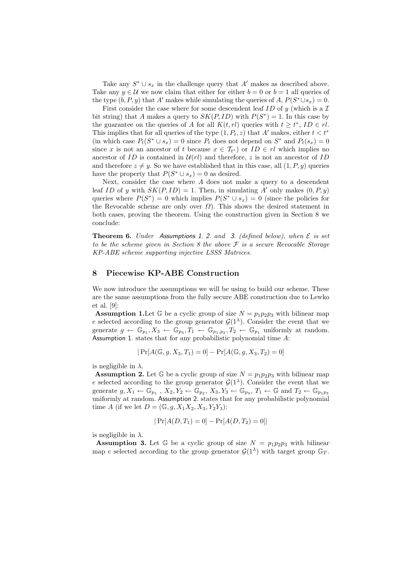Take any  $S^* \cup s_x$  in the challenge query that A' makes as described above. Take any  $y \in \mathcal{U}$  we now claim that either for either  $b = 0$  or  $b = 1$  all queries of the type  $(b, P, y)$  that A' makes while simulating the queries of A,  $P(S^* \cup s_x) = 0$ .

First consider the case where for some descendent leaf ID of  $y$  (which is a  $\mathcal I$ bit string) that A makes a query to  $SK(P, ID)$  with  $P(S^*) = 1$ . In this case by the guarantee on the queries of A for all  $K(t, rl)$  queries with  $t \geq t^*$ ,  $ID \in rl$ . This implies that for all queries of the type  $(1, P_t, z)$  that A' makes, either  $t < t^*$ (in which case  $P_t(S^* \cup s_x) = 0$  since  $P_t$  does not depend on  $S^*$  and  $P_t(s_x) = 0$ since x is not an ancestor of t because  $x \in \mathcal{T}_{t^*}$  or  $ID \in rl$  which implies no ancestor of ID is contained in  $\mathcal{U}(rl)$  and therefore, z is not an ancestor of ID and therefore  $z \neq y$ . So we have established that in this case, all  $(1, P, y)$  queries have the property that  $P(S^* \cup s_x) = 0$  as desired.

Next, consider the case where  $A$  does not make a query to a descendent leaf ID of y with  $SK(P, ID) = 1$ . Then, in simulating A' only makes  $(0, P, y)$ queries where  $P(S^*) = 0$  which implies  $P(S^* \cup s_x) = 0$  (since the policies for the Revocable scheme are only over  $\Omega$ ). This shows the desired statement in both cases, proving the theorem. Using the construction given in Section 8 we conclude:

**Theorem 6.** Under Assumptions 1. 2. and 3. (defined below), when  $\mathcal{E}$  is set to be the scheme given in Section 8 the above  $\mathcal F$  is a secure Revocable Storage KP-ABE scheme supporting injective LSSS Matrices.

# 8 Piecewise KP-ABE Construction

We now introduce the assumptions we will be using to build our scheme. These are the same assumptions from the fully secure ABE construction due to Lewko et al. [9]:

**Assumption 1.** Let G be a cyclic group of size  $N = p_1p_2p_3$  with bilinear map e selected according to the group generator  $\mathcal{G}(1^{\lambda})$ . Consider the event that we generate  $g \leftarrow \mathbb{G}_{p_1}, X_3 \leftarrow \mathbb{G}_{p_3}, T_1 \leftarrow \mathbb{G}_{p_1, p_2}, T_2 \leftarrow \mathbb{G}_{p_1}$  uniformly at random. Assumption 1. states that for any probabilistic polynomial time  $A$ :

$$
|\Pr[A(\mathbb{G}, g, X_3, T_1) = 0] - \Pr[A(\mathbb{G}, g, X_3, T_2) = 0]
$$

is negligible in  $\lambda$ .

**Assumption 2.** Let G be a cyclic group of size  $N = p_1p_2p_3$  with bilinear map e selected according to the group generator  $\mathcal{G}(1^{\lambda})$ . Consider the event that we generate  $g, X_1 \leftarrow \mathbb{G}_{p_1}$ ,  $X_2, Y_2 \leftarrow \mathbb{G}_{p_2}$ ,  $X_3, Y_3 \leftarrow \mathbb{G}_{p_3}$ ,  $T_1 \leftarrow \mathbb{G}$  and  $T_2 \leftarrow \mathbb{G}_{p_1p_3}$ uniformly at random. Assumption 2. states that for any probabilistic polynomial time A (if we let  $D = (\mathbb{G}, g, X_1X_2, X_3, Y_2Y_3)$ :

$$
|\Pr[A(D, T_1) = 0] - \Pr[A(D, T_2) = 0]|
$$

is negligible in  $\lambda$ .

**Assumption 3.** Let G be a cyclic group of size  $N = p_1p_2p_3$  with bilinear map e selected according to the group generator  $\mathcal{G}(1^{\lambda})$  with target group  $\mathbb{G}_T$ .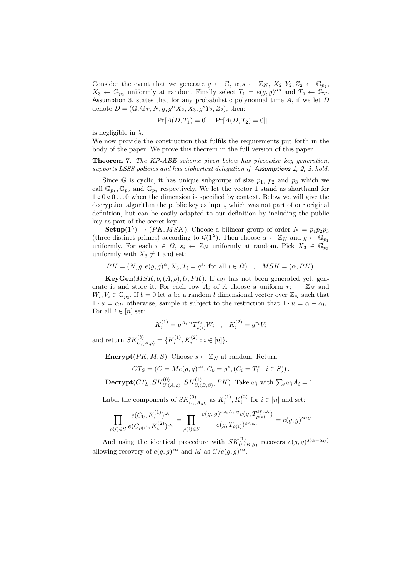Consider the event that we generate  $g \leftarrow \mathbb{G}$ ,  $\alpha, s \leftarrow \mathbb{Z}_N$ ,  $X_2, Y_2, Z_2 \leftarrow \mathbb{G}_{p_2}$ ,  $X_3 \leftarrow \mathbb{G}_{p_3}$  uniformly at random. Finally select  $T_1 = e(g, g)^{\alpha s}$  and  $T_2 \leftarrow \mathbb{G}_T$ . Assumption 3. states that for any probabilistic polynomial time  $A$ , if we let  $D$ denote  $D = (\mathbb{G}, \mathbb{G}_T, N, g, g^{\alpha} X_2, X_3, g^s Y_2, Z_2)$ , then:

$$
|\Pr[A(D, T_1) = 0] - \Pr[A(D, T_2) = 0]|
$$

is negligible in  $\lambda$ .

We now provide the construction that fulfils the requirements put forth in the body of the paper. We prove this theorem in the full version of this paper.

Theorem 7. The KP-ABE scheme given below has piecewise key generation, supports LSSS policies and has ciphertext delegation if Assumptions 1, 2, 3. hold.

Since G is cyclic, it has unique subgroups of size  $p_1$ ,  $p_2$  and  $p_3$  which we call  $\mathbb{G}_{p_1}, \mathbb{G}_{p_2}$  and  $\mathbb{G}_{p_3}$  respectively. We let the vector 1 stand as shorthand for  $1 \circ 0 \circ 0 \ldots 0$  when the dimension is specified by context. Below we will give the decryption algorithm the public key as input, which was not part of our original definition, but can be easily adapted to our definition by including the public key as part of the secret key.

**Setup**(1<sup> $\lambda$ </sup>)  $\rightarrow$  (*PK, MSK*): Choose a bilinear group of order  $N = p_1 p_2 p_3$ (three distinct primes) according to  $\mathcal{G}(1^{\lambda})$ . Then choose  $\alpha \leftarrow \mathbb{Z}_N$  and  $g \leftarrow \mathbb{G}_{p_1}$ uniformly. For each  $i \in \Omega$ ,  $s_i \leftarrow \mathbb{Z}_N$  uniformly at random. Pick  $X_3 \in \mathbb{G}_{p_3}$ uniformly with  $X_3 \neq 1$  and set:

$$
PK = (N, g, e(g, g)^{\alpha}, X_3, T_i = g^{s_i} \text{ for all } i \in \Omega) , \quad MSK = (\alpha, PK).
$$

 $KeyGen(MSK, b, (A, \rho), U, PK)$ . If  $\alpha_U$  has not been generated yet, generate it and store it. For each row  $A_i$  of A choose a uniform  $r_i \leftarrow \mathbb{Z}_N$  and  $W_i, V_i \in \mathbb{G}_{p_3}$ . If  $b = 0$  let u be a random l dimensional vector over  $\mathbb{Z}_N$  such that  $1 \cdot u = \alpha_U$  otherwise, sample it subject to the restriction that  $1 \cdot u = \alpha - \alpha_U$ . For all  $i \in [n]$  set:

$$
K_i^{(1)} = g^{A_i \cdot u} T_{\rho(i)}^r W_i \quad , \quad K_i^{(2)} = g^{r_i} V_i
$$

and return  $SK_{U,(A,\rho)}^{(b)} = \{K_i^{(1)}, K_i^{(2)} : i \in [n]\}.$ 

**Encrypt**( $PK, M, S$ ). Choose  $s \leftarrow \mathbb{Z}_N$  at random. Return:

$$
CT_S = (C = Me(g, g)^{\alpha s}, C_0 = g^s, (C_i = T_i^s : i \in S)).
$$

 $\textbf{Decrypt}(CT_S, SK_{U,(A,\rho)}^{(0)}, SK_{U,(B,\beta)}^{(1)}, PK)$ . Take  $\omega_i$  with  $\sum_i \omega_i A_i = 1$ .

Label the components of  $SK_{U,(A,\rho)}^{(0)}$  as  $K_i^{(1)}, K_i^{(2)}$  for  $i \in [n]$  and set:

$$
\prod_{\rho(i)\in S}\frac{e(C_0,K_i^{(1)})^{\omega_i}}{e(C_{\rho(i)},K_i^{(2)})^{\omega_i}}=\prod_{\rho(i)\in S}\frac{e(g,g)^{s\omega_iA_i\cdot u}e(g,T^{sr_i\omega_i}_{\rho(i)})}{e(g,T_{\rho(i)})^{sr_i\omega_i}}=e(g,g)^{s\alpha_U}
$$

And using the identical procedure with  $SK_{U,(B,\beta)}^{(1)}$  recovers  $e(g,g)^{s(\alpha-\alpha_U)}$ allowing recovery of  $e(g,g)^{s\alpha}$  and M as  $C/e(g,g)^{s\alpha}$ .